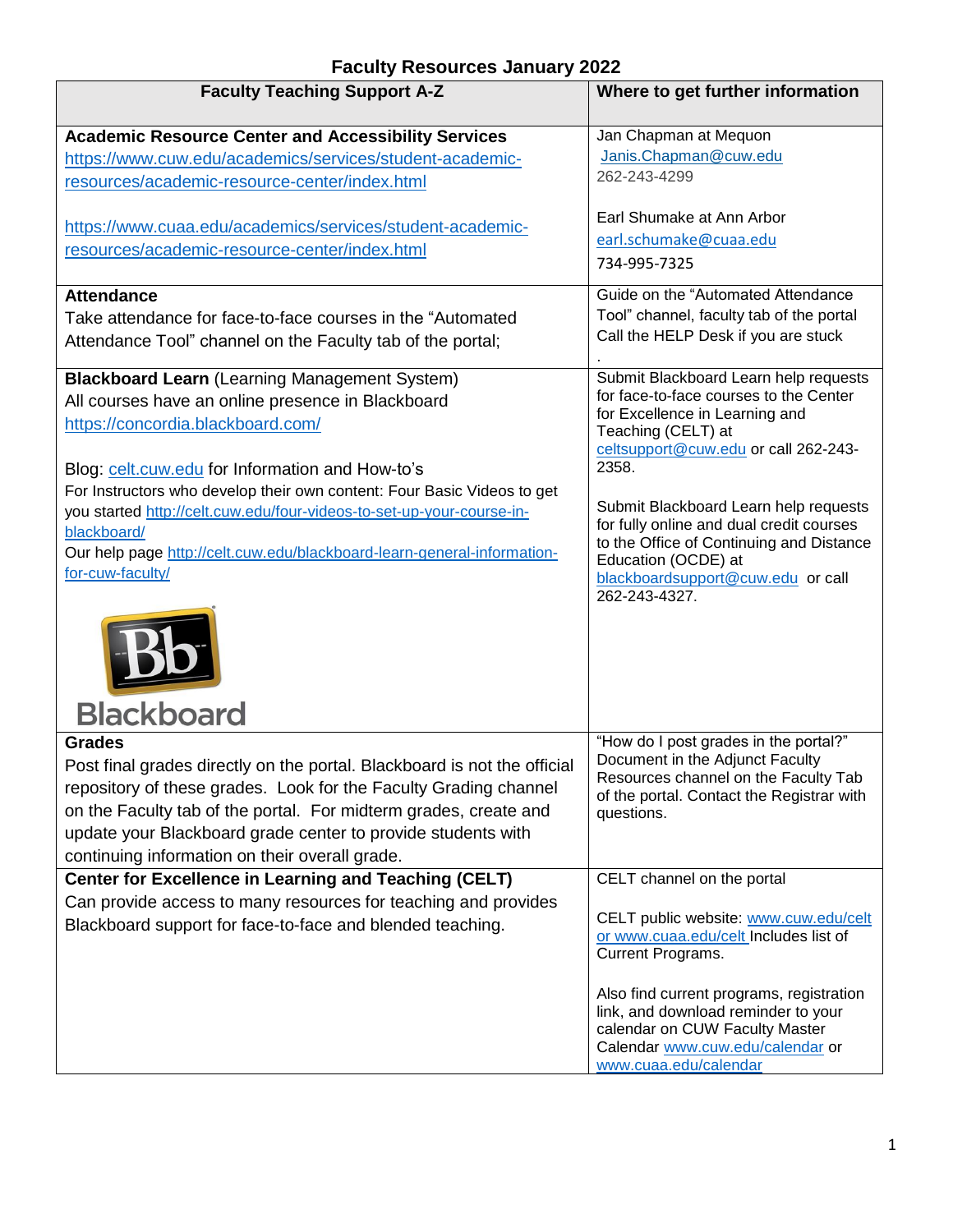## **Faculty Resources January 2022**

| <b>Faculty Teaching Support A-Z</b>                                                                                                                                                                                                                                                                                                                 | Where to get further information                                                                                                                                                                           |
|-----------------------------------------------------------------------------------------------------------------------------------------------------------------------------------------------------------------------------------------------------------------------------------------------------------------------------------------------------|------------------------------------------------------------------------------------------------------------------------------------------------------------------------------------------------------------|
| <b>Academic Resource Center and Accessibility Services</b><br>https://www.cuw.edu/academics/services/student-academic-<br>resources/academic-resource-center/index.html                                                                                                                                                                             | Jan Chapman at Mequon<br>Janis.Chapman@cuw.edu<br>262-243-4299                                                                                                                                             |
| https://www.cuaa.edu/academics/services/student-academic-<br>resources/academic-resource-center/index.html                                                                                                                                                                                                                                          | Earl Shumake at Ann Arbor<br>earl.schumake@cuaa.edu<br>734-995-7325                                                                                                                                        |
| <b>Attendance</b><br>Take attendance for face-to-face courses in the "Automated<br>Attendance Tool" channel on the Faculty tab of the portal;                                                                                                                                                                                                       | Guide on the "Automated Attendance"<br>Tool" channel, faculty tab of the portal<br>Call the HELP Desk if you are stuck                                                                                     |
| <b>Blackboard Learn (Learning Management System)</b><br>All courses have an online presence in Blackboard<br>https://concordia.blackboard.com/<br>Blog: celt.cuw.edu for Information and How-to's<br>For Instructors who develop their own content: Four Basic Videos to get                                                                        | Submit Blackboard Learn help requests<br>for face-to-face courses to the Center<br>for Excellence in Learning and<br>Teaching (CELT) at<br>celtsupport@cuw.edu or call 262-243-<br>2358.                   |
| you started http://celt.cuw.edu/four-videos-to-set-up-your-course-in-<br>blackboard/<br>Our help page http://celt.cuw.edu/blackboard-learn-general-information-<br>for-cuw-faculty/                                                                                                                                                                 | Submit Blackboard Learn help requests<br>for fully online and dual credit courses<br>to the Office of Continuing and Distance<br>Education (OCDE) at<br>blackboardsupport@cuw.edu or call<br>262-243-4327. |
| <b>Blackboard</b>                                                                                                                                                                                                                                                                                                                                   |                                                                                                                                                                                                            |
| <b>Grades</b><br>Post final grades directly on the portal. Blackboard is not the official<br>repository of these grades. Look for the Faculty Grading channel<br>on the Faculty tab of the portal. For midterm grades, create and<br>update your Blackboard grade center to provide students with<br>continuing information on their overall grade. | "How do I post grades in the portal?"<br>Document in the Adjunct Faculty<br>Resources channel on the Faculty Tab<br>of the portal. Contact the Registrar with<br>questions.                                |
| <b>Center for Excellence in Learning and Teaching (CELT)</b><br>Can provide access to many resources for teaching and provides<br>Blackboard support for face-to-face and blended teaching.                                                                                                                                                         | CELT channel on the portal<br>CELT public website: www.cuw.edu/celt<br>or www.cuaa.edu/celt Includes list of<br>Current Programs.                                                                          |
|                                                                                                                                                                                                                                                                                                                                                     | Also find current programs, registration<br>link, and download reminder to your<br>calendar on CUW Faculty Master<br>Calendar www.cuw.edu/calendar or<br>www.cuaa.edu/calendar                             |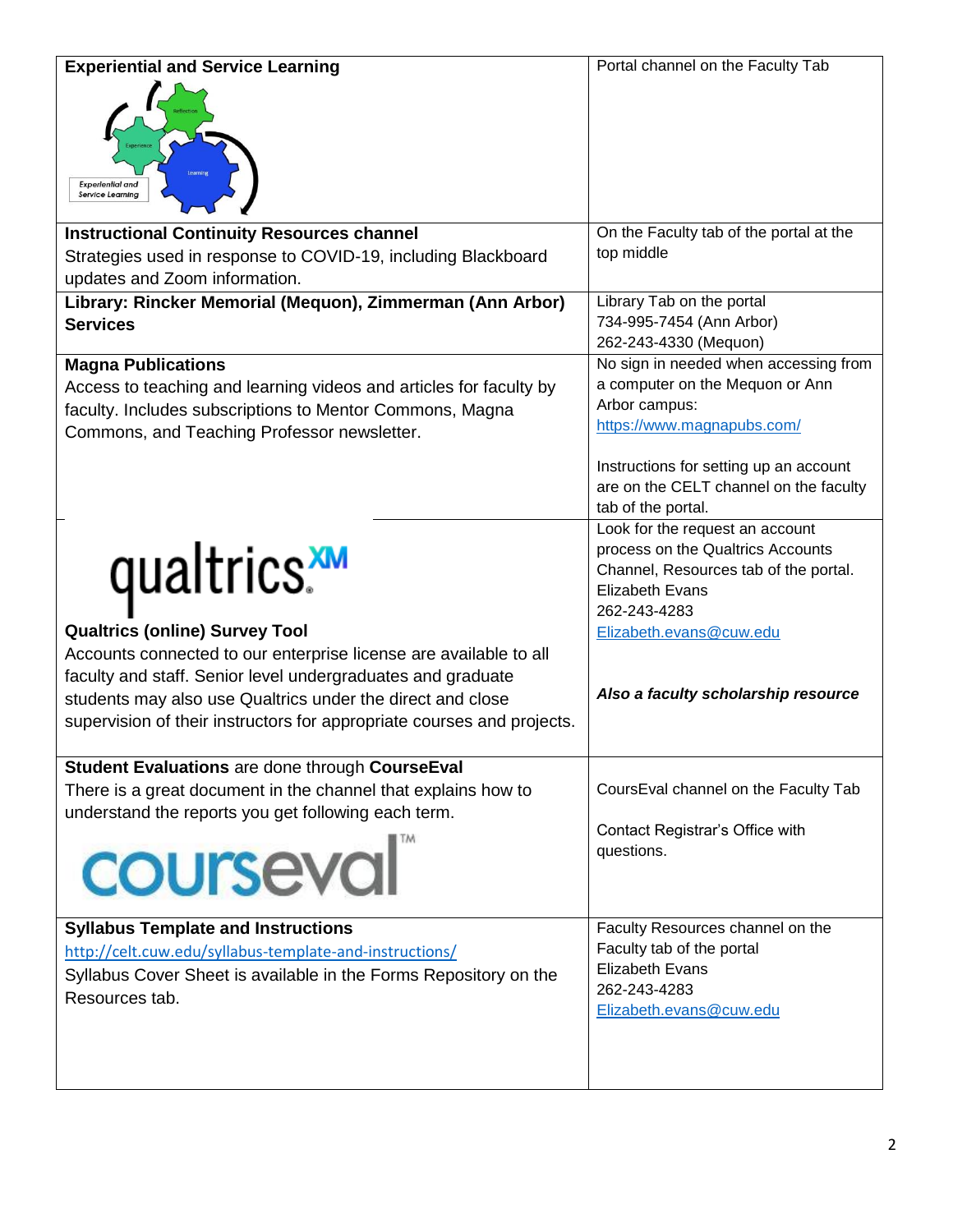| <b>Experiential and Service Learning</b>                               | Portal channel on the Faculty Tab                   |
|------------------------------------------------------------------------|-----------------------------------------------------|
| <b>Experiential and</b><br><b>Service Learning</b>                     |                                                     |
| <b>Instructional Continuity Resources channel</b>                      | On the Faculty tab of the portal at the             |
| Strategies used in response to COVID-19, including Blackboard          | top middle                                          |
| updates and Zoom information.                                          |                                                     |
| Library: Rincker Memorial (Mequon), Zimmerman (Ann Arbor)              | Library Tab on the portal                           |
| <b>Services</b>                                                        | 734-995-7454 (Ann Arbor)                            |
|                                                                        | 262-243-4330 (Mequon)                               |
| <b>Magna Publications</b>                                              | No sign in needed when accessing from               |
| Access to teaching and learning videos and articles for faculty by     | a computer on the Mequon or Ann                     |
| faculty. Includes subscriptions to Mentor Commons, Magna               | Arbor campus:                                       |
|                                                                        | https://www.magnapubs.com/                          |
| Commons, and Teaching Professor newsletter.                            |                                                     |
|                                                                        | Instructions for setting up an account              |
|                                                                        | are on the CELT channel on the faculty              |
|                                                                        | tab of the portal.                                  |
|                                                                        | Look for the request an account                     |
|                                                                        | process on the Qualtrics Accounts                   |
| qualtrics.xm                                                           | Channel, Resources tab of the portal.               |
|                                                                        | <b>Elizabeth Evans</b>                              |
|                                                                        | 262-243-4283                                        |
| <b>Qualtrics (online) Survey Tool</b>                                  | Elizabeth.evans@cuw.edu                             |
| Accounts connected to our enterprise license are available to all      |                                                     |
| faculty and staff. Senior level undergraduates and graduate            |                                                     |
|                                                                        | Also a faculty scholarship resource                 |
| students may also use Qualtrics under the direct and close             |                                                     |
| supervision of their instructors for appropriate courses and projects. |                                                     |
|                                                                        |                                                     |
| <b>Student Evaluations are done through CourseEval</b>                 |                                                     |
| There is a great document in the channel that explains how to          | CoursEval channel on the Faculty Tab                |
| understand the reports you get following each term.                    |                                                     |
|                                                                        | Contact Registrar's Office with                     |
| courseval                                                              | questions.                                          |
|                                                                        |                                                     |
|                                                                        |                                                     |
|                                                                        |                                                     |
| <b>Syllabus Template and Instructions</b>                              | Faculty Resources channel on the                    |
| http://celt.cuw.edu/syllabus-template-and-instructions/                | Faculty tab of the portal<br><b>Elizabeth Evans</b> |
| Syllabus Cover Sheet is available in the Forms Repository on the       |                                                     |
| Resources tab.                                                         | 262-243-4283                                        |
|                                                                        | Elizabeth.evans@cuw.edu                             |
|                                                                        |                                                     |
|                                                                        |                                                     |
|                                                                        |                                                     |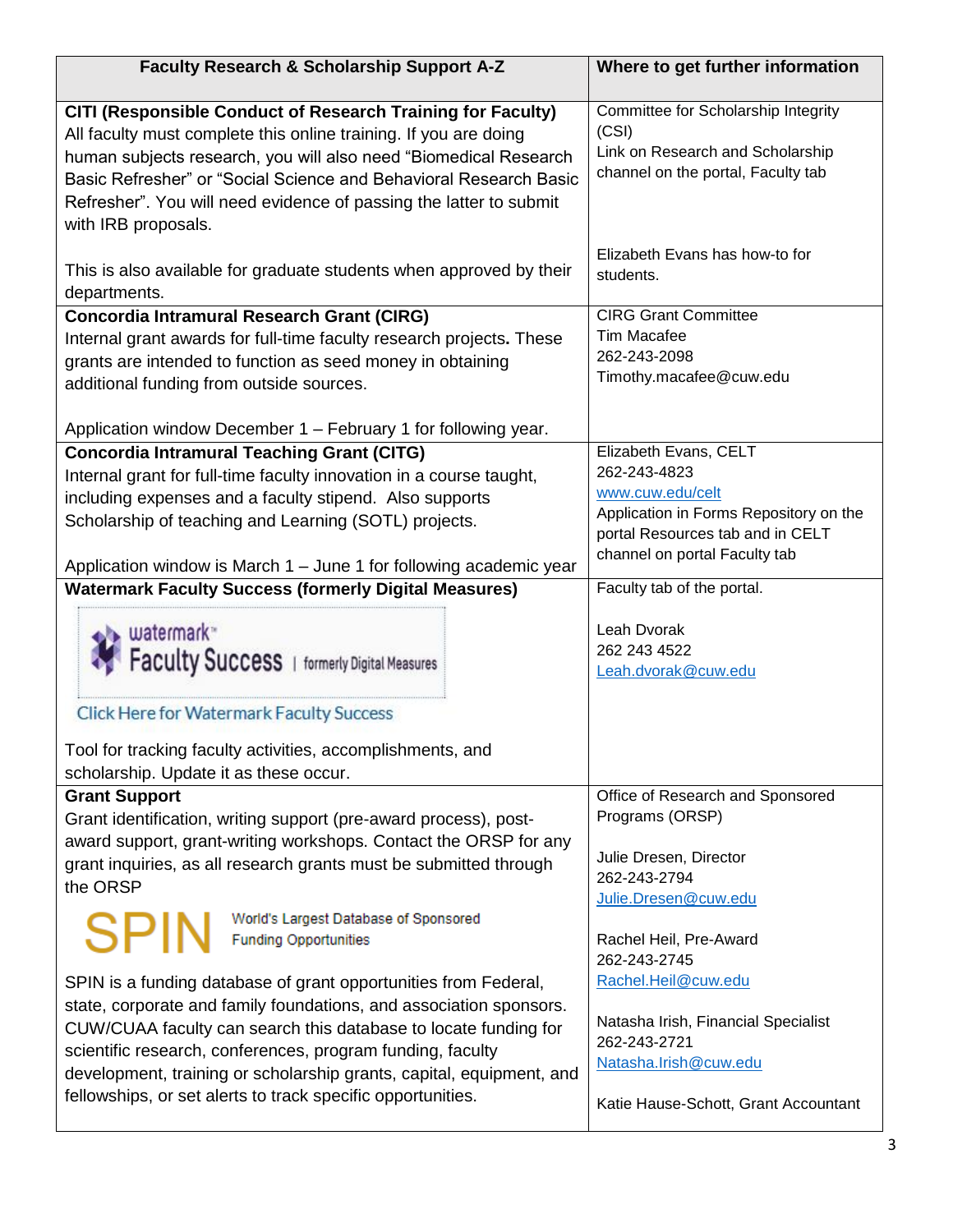| Faculty Research & Scholarship Support A-Z                                                                                                                                                                                                                                                                                                                            | Where to get further information                                                                                       |
|-----------------------------------------------------------------------------------------------------------------------------------------------------------------------------------------------------------------------------------------------------------------------------------------------------------------------------------------------------------------------|------------------------------------------------------------------------------------------------------------------------|
| CITI (Responsible Conduct of Research Training for Faculty)<br>All faculty must complete this online training. If you are doing<br>human subjects research, you will also need "Biomedical Research<br>Basic Refresher" or "Social Science and Behavioral Research Basic<br>Refresher". You will need evidence of passing the latter to submit<br>with IRB proposals. | Committee for Scholarship Integrity<br>(CSI)<br>Link on Research and Scholarship<br>channel on the portal, Faculty tab |
| This is also available for graduate students when approved by their<br>departments.                                                                                                                                                                                                                                                                                   | Elizabeth Evans has how-to for<br>students.                                                                            |
| <b>Concordia Intramural Research Grant (CIRG)</b>                                                                                                                                                                                                                                                                                                                     | <b>CIRG Grant Committee</b>                                                                                            |
| Internal grant awards for full-time faculty research projects. These                                                                                                                                                                                                                                                                                                  | <b>Tim Macafee</b><br>262-243-2098                                                                                     |
| grants are intended to function as seed money in obtaining                                                                                                                                                                                                                                                                                                            | Timothy.macafee@cuw.edu                                                                                                |
| additional funding from outside sources.                                                                                                                                                                                                                                                                                                                              |                                                                                                                        |
| Application window December 1 - February 1 for following year.                                                                                                                                                                                                                                                                                                        |                                                                                                                        |
| <b>Concordia Intramural Teaching Grant (CITG)</b>                                                                                                                                                                                                                                                                                                                     | Elizabeth Evans, CELT                                                                                                  |
| Internal grant for full-time faculty innovation in a course taught,                                                                                                                                                                                                                                                                                                   | 262-243-4823<br>www.cuw.edu/celt                                                                                       |
| including expenses and a faculty stipend. Also supports                                                                                                                                                                                                                                                                                                               | Application in Forms Repository on the                                                                                 |
| Scholarship of teaching and Learning (SOTL) projects.                                                                                                                                                                                                                                                                                                                 | portal Resources tab and in CELT                                                                                       |
| Application window is March 1 - June 1 for following academic year                                                                                                                                                                                                                                                                                                    | channel on portal Faculty tab                                                                                          |
| <b>Watermark Faculty Success (formerly Digital Measures)</b>                                                                                                                                                                                                                                                                                                          | Faculty tab of the portal.                                                                                             |
| watermark <sup>®</sup><br>Faculty Success   formerly Digital Measures<br><b>Click Here for Watermark Faculty Success</b>                                                                                                                                                                                                                                              | Leah Dvorak<br>262 243 4522<br>Leah.dvorak@cuw.edu                                                                     |
| Tool for tracking faculty activities, accomplishments, and<br>scholarship. Update it as these occur.                                                                                                                                                                                                                                                                  |                                                                                                                        |
| <b>Grant Support</b>                                                                                                                                                                                                                                                                                                                                                  | Office of Research and Sponsored                                                                                       |
| Grant identification, writing support (pre-award process), post-                                                                                                                                                                                                                                                                                                      | Programs (ORSP)                                                                                                        |
| award support, grant-writing workshops. Contact the ORSP for any<br>grant inquiries, as all research grants must be submitted through<br>the ORSP                                                                                                                                                                                                                     | Julie Dresen, Director<br>262-243-2794                                                                                 |
| World's Largest Database of Sponsored<br><b>SPIN</b><br><b>Funding Opportunities</b>                                                                                                                                                                                                                                                                                  | Julie.Dresen@cuw.edu<br>Rachel Heil, Pre-Award<br>262-243-2745                                                         |
| SPIN is a funding database of grant opportunities from Federal,                                                                                                                                                                                                                                                                                                       | Rachel.Heil@cuw.edu                                                                                                    |
| state, corporate and family foundations, and association sponsors.<br>CUW/CUAA faculty can search this database to locate funding for<br>scientific research, conferences, program funding, faculty<br>development, training or scholarship grants, capital, equipment, and<br>fellowships, or set alerts to track specific opportunities.                            | Natasha Irish, Financial Specialist<br>262-243-2721<br>Natasha.Irish@cuw.edu<br>Katie Hause-Schott, Grant Accountant   |
|                                                                                                                                                                                                                                                                                                                                                                       |                                                                                                                        |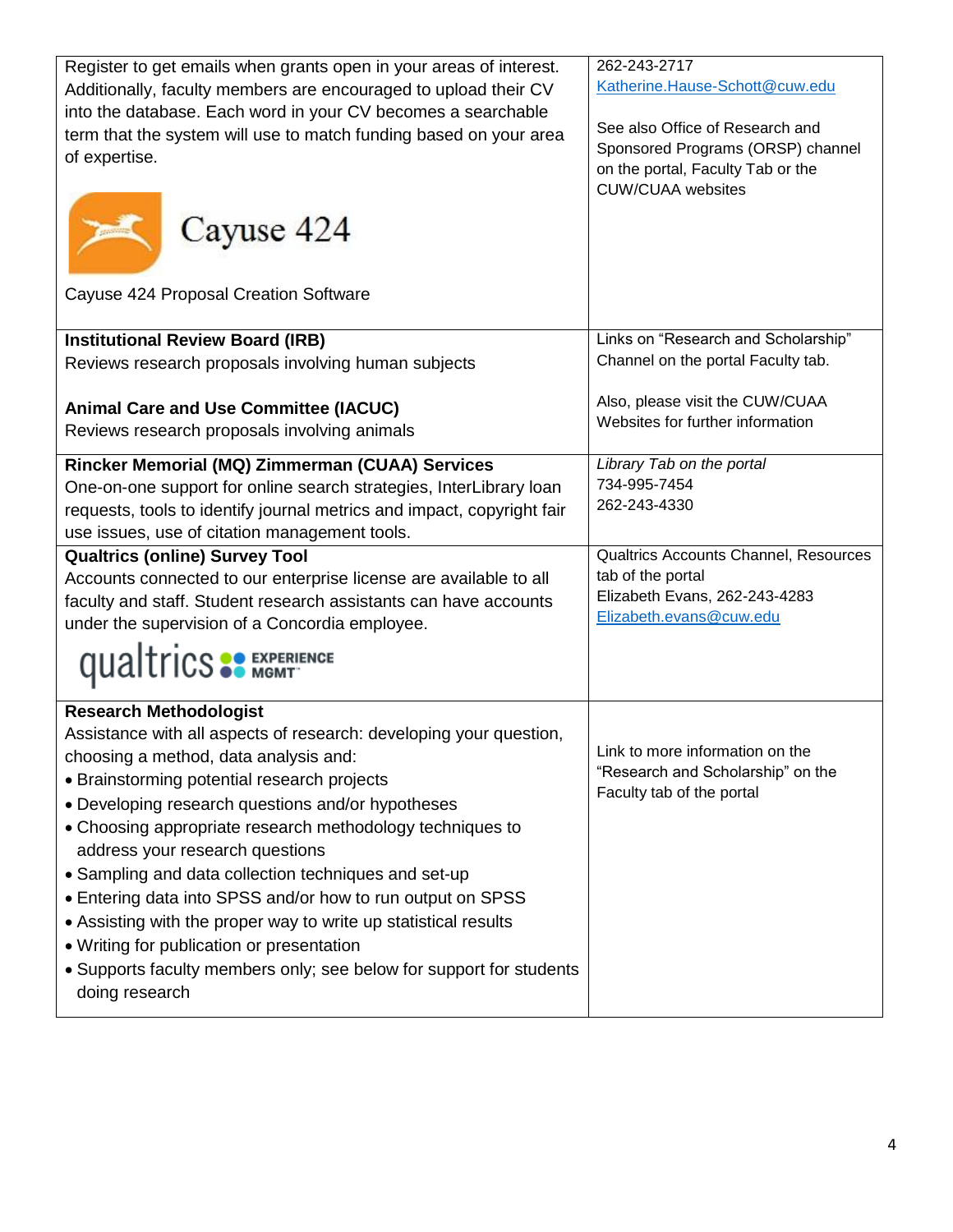| Register to get emails when grants open in your areas of interest.                                                                | 262-243-2717                                                         |
|-----------------------------------------------------------------------------------------------------------------------------------|----------------------------------------------------------------------|
| Additionally, faculty members are encouraged to upload their CV                                                                   | Katherine.Hause-Schott@cuw.edu                                       |
| into the database. Each word in your CV becomes a searchable<br>term that the system will use to match funding based on your area | See also Office of Research and                                      |
| of expertise.                                                                                                                     | Sponsored Programs (ORSP) channel                                    |
|                                                                                                                                   | on the portal, Faculty Tab or the                                    |
|                                                                                                                                   | <b>CUW/CUAA</b> websites                                             |
| Cayuse 424                                                                                                                        |                                                                      |
|                                                                                                                                   |                                                                      |
|                                                                                                                                   |                                                                      |
| Cayuse 424 Proposal Creation Software                                                                                             |                                                                      |
| <b>Institutional Review Board (IRB)</b>                                                                                           | Links on "Research and Scholarship"                                  |
| Reviews research proposals involving human subjects                                                                               | Channel on the portal Faculty tab.                                   |
|                                                                                                                                   | Also, please visit the CUW/CUAA                                      |
| <b>Animal Care and Use Committee (IACUC)</b>                                                                                      | Websites for further information                                     |
| Reviews research proposals involving animals                                                                                      |                                                                      |
| Rincker Memorial (MQ) Zimmerman (CUAA) Services                                                                                   | Library Tab on the portal                                            |
| One-on-one support for online search strategies, InterLibrary loan                                                                | 734-995-7454<br>262-243-4330                                         |
| requests, tools to identify journal metrics and impact, copyright fair                                                            |                                                                      |
| use issues, use of citation management tools.                                                                                     | Qualtrics Accounts Channel, Resources                                |
| <b>Qualtrics (online) Survey Tool</b><br>Accounts connected to our enterprise license are available to all                        | tab of the portal                                                    |
| faculty and staff. Student research assistants can have accounts                                                                  | Elizabeth Evans, 262-243-4283                                        |
| under the supervision of a Concordia employee.                                                                                    | Elizabeth.evans@cuw.edu                                              |
|                                                                                                                                   |                                                                      |
| <b>QUALTICS OF EXPERIENCE</b>                                                                                                     |                                                                      |
| <b>Research Methodologist</b>                                                                                                     |                                                                      |
| Assistance with all aspects of research: developing your question,                                                                |                                                                      |
| choosing a method, data analysis and:                                                                                             | Link to more information on the<br>"Research and Scholarship" on the |
| • Brainstorming potential research projects                                                                                       | Faculty tab of the portal                                            |
| • Developing research questions and/or hypotheses                                                                                 |                                                                      |
| • Choosing appropriate research methodology techniques to                                                                         |                                                                      |
| address your research questions                                                                                                   |                                                                      |
| • Sampling and data collection techniques and set-up                                                                              |                                                                      |
| • Entering data into SPSS and/or how to run output on SPSS<br>• Assisting with the proper way to write up statistical results     |                                                                      |
| • Writing for publication or presentation                                                                                         |                                                                      |
| • Supports faculty members only; see below for support for students                                                               |                                                                      |
| doing research                                                                                                                    |                                                                      |
|                                                                                                                                   |                                                                      |